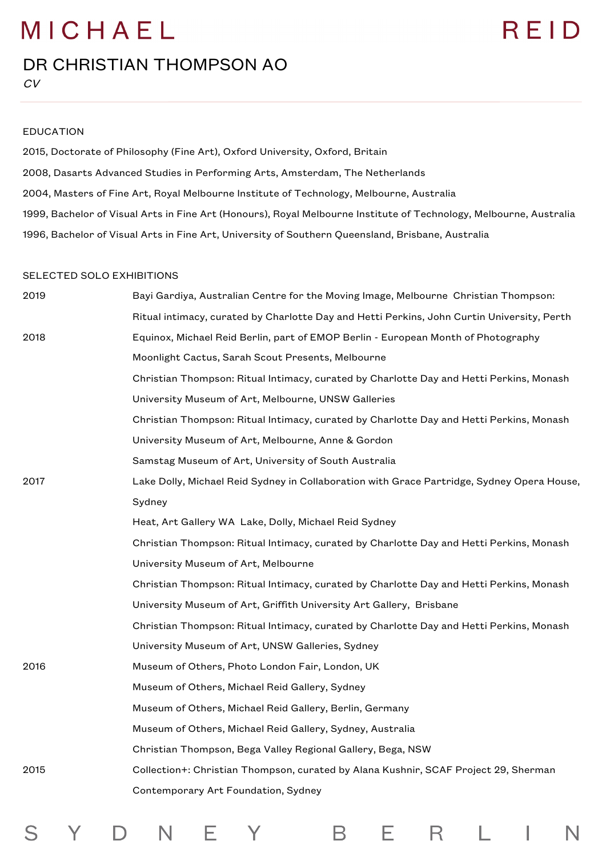#### DR CHRISTIAN THOMPSON AO

S

Y.

D.

#### EDUCATION

2015, Doctorate of Philosophy (Fine Art), Oxford University, Oxford, Britain 2008, Dasarts Advanced Studies in Performing Arts, Amsterdam, The Netherlands 2004, Masters of Fine Art, Royal Melbourne Institute of Technology, Melbourne, Australia 1999, Bachelor of Visual Arts in Fine Art (Honours), Royal Melbourne Institute of Technology, Melbourne, Australia 1996, Bachelor of Visual Arts in Fine Art, University of Southern Queensland, Brisbane, Australia

#### SELECTED SOLO EXHIBITIONS

| 2019 | Bayi Gardiya, Australian Centre for the Moving Image, Melbourne Christian Thompson:        |
|------|--------------------------------------------------------------------------------------------|
|      | Ritual intimacy, curated by Charlotte Day and Hetti Perkins, John Curtin University, Perth |
| 2018 | Equinox, Michael Reid Berlin, part of EMOP Berlin - European Month of Photography          |
|      | Moonlight Cactus, Sarah Scout Presents, Melbourne                                          |
|      | Christian Thompson: Ritual Intimacy, curated by Charlotte Day and Hetti Perkins, Monash    |
|      | University Museum of Art, Melbourne, UNSW Galleries                                        |
|      | Christian Thompson: Ritual Intimacy, curated by Charlotte Day and Hetti Perkins, Monash    |
|      | University Museum of Art, Melbourne, Anne & Gordon                                         |
|      | Samstag Museum of Art, University of South Australia                                       |
| 2017 | Lake Dolly, Michael Reid Sydney in Collaboration with Grace Partridge, Sydney Opera House, |
|      | Sydney                                                                                     |
|      | Heat, Art Gallery WA Lake, Dolly, Michael Reid Sydney                                      |
|      | Christian Thompson: Ritual Intimacy, curated by Charlotte Day and Hetti Perkins, Monash    |
|      | University Museum of Art, Melbourne                                                        |
|      | Christian Thompson: Ritual Intimacy, curated by Charlotte Day and Hetti Perkins, Monash    |
|      | University Museum of Art, Griffith University Art Gallery, Brisbane                        |
|      | Christian Thompson: Ritual Intimacy, curated by Charlotte Day and Hetti Perkins, Monash    |
|      | University Museum of Art, UNSW Galleries, Sydney                                           |
| 2016 | Museum of Others, Photo London Fair, London, UK                                            |
|      | Museum of Others, Michael Reid Gallery, Sydney                                             |
|      | Museum of Others, Michael Reid Gallery, Berlin, Germany                                    |
|      | Museum of Others, Michael Reid Gallery, Sydney, Australia                                  |
|      | Christian Thompson, Bega Valley Regional Gallery, Bega, NSW                                |
| 2015 | Collection+: Christian Thompson, curated by Alana Kushnir, SCAF Project 29, Sherman        |
|      | Contemporary Art Foundation, Sydney                                                        |
|      |                                                                                            |

Е.

B

 $\mathsf{R}$ 

 $\mathsf{I}$ 

N

L

Е

N .

Y

### RFID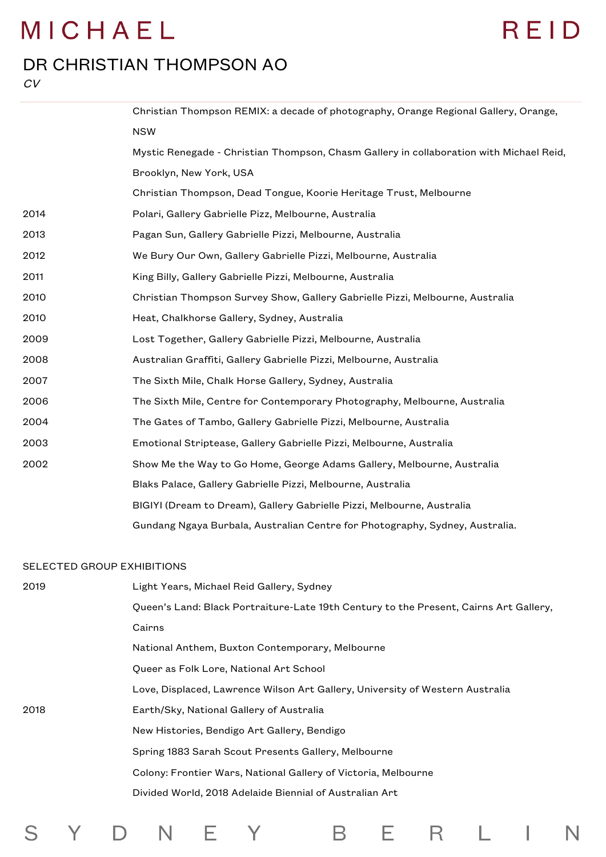## REID

#### DR CHRISTIAN THOMPSON AO

CV

|      | Christian Thompson REMIX: a decade of photography, Orange Regional Gallery, Orange,     |
|------|-----------------------------------------------------------------------------------------|
|      | <b>NSW</b>                                                                              |
|      | Mystic Renegade - Christian Thompson, Chasm Gallery in collaboration with Michael Reid, |
|      | Brooklyn, New York, USA                                                                 |
|      | Christian Thompson, Dead Tongue, Koorie Heritage Trust, Melbourne                       |
| 2014 | Polari, Gallery Gabrielle Pizz, Melbourne, Australia                                    |
| 2013 | Pagan Sun, Gallery Gabrielle Pizzi, Melbourne, Australia                                |
| 2012 | We Bury Our Own, Gallery Gabrielle Pizzi, Melbourne, Australia                          |
| 2011 | King Billy, Gallery Gabrielle Pizzi, Melbourne, Australia                               |
| 2010 | Christian Thompson Survey Show, Gallery Gabrielle Pizzi, Melbourne, Australia           |
| 2010 | Heat, Chalkhorse Gallery, Sydney, Australia                                             |
| 2009 | Lost Together, Gallery Gabrielle Pizzi, Melbourne, Australia                            |
| 2008 | Australian Graffiti, Gallery Gabrielle Pizzi, Melbourne, Australia                      |
| 2007 | The Sixth Mile, Chalk Horse Gallery, Sydney, Australia                                  |
| 2006 | The Sixth Mile, Centre for Contemporary Photography, Melbourne, Australia               |
| 2004 | The Gates of Tambo, Gallery Gabrielle Pizzi, Melbourne, Australia                       |
| 2003 | Emotional Striptease, Gallery Gabrielle Pizzi, Melbourne, Australia                     |
| 2002 | Show Me the Way to Go Home, George Adams Gallery, Melbourne, Australia                  |
|      | Blaks Palace, Gallery Gabrielle Pizzi, Melbourne, Australia                             |
|      | BIGIYI (Dream to Dream), Gallery Gabrielle Pizzi, Melbourne, Australia                  |
|      | Gundang Ngaya Burbala, Australian Centre for Photography, Sydney, Australia.            |
|      |                                                                                         |

#### SELECTED GROUP EXHIBITIONS

S Y D N E Y

| 2019 | Light Years, Michael Reid Gallery, Sydney                                             |
|------|---------------------------------------------------------------------------------------|
|      | Queen's Land: Black Portraiture-Late 19th Century to the Present, Cairns Art Gallery, |
|      | Cairns                                                                                |
|      | National Anthem, Buxton Contemporary, Melbourne                                       |
|      | Queer as Folk Lore, National Art School                                               |
|      | Love, Displaced, Lawrence Wilson Art Gallery, University of Western Australia         |
| 2018 | Earth/Sky, National Gallery of Australia                                              |
|      | New Histories, Bendigo Art Gallery, Bendigo                                           |
|      | Spring 1883 Sarah Scout Presents Gallery, Melbourne                                   |
|      | Colony: Frontier Wars, National Gallery of Victoria, Melbourne                        |
|      | Divided World, 2018 Adelaide Biennial of Australian Art                               |
|      |                                                                                       |

B E R L I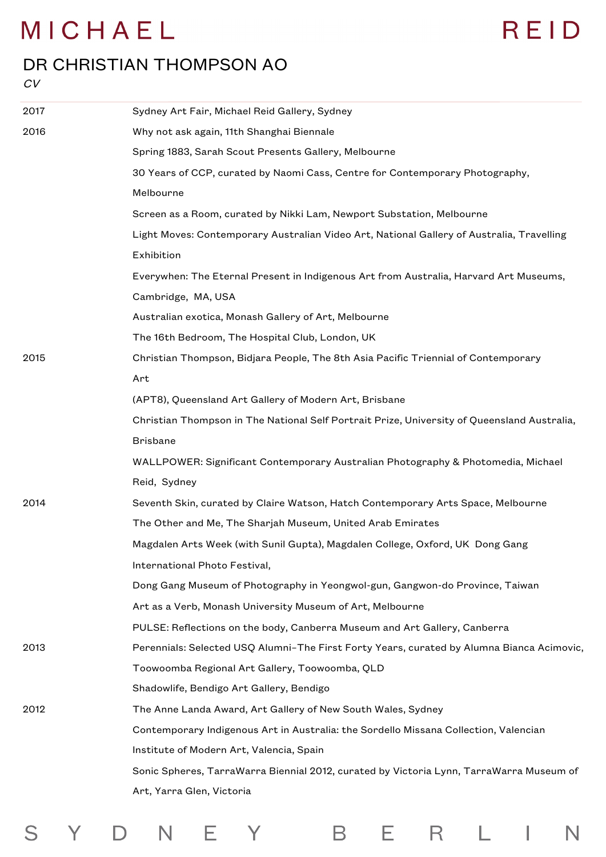#### DR CHRISTIAN THOMPSON AO

#### $CV$

S

Y D N E Y

| 2017 | Sydney Art Fair, Michael Reid Gallery, Sydney                                               |
|------|---------------------------------------------------------------------------------------------|
| 2016 | Why not ask again, 11th Shanghai Biennale                                                   |
|      | Spring 1883, Sarah Scout Presents Gallery, Melbourne                                        |
|      | 30 Years of CCP, curated by Naomi Cass, Centre for Contemporary Photography,                |
|      | Melbourne                                                                                   |
|      | Screen as a Room, curated by Nikki Lam, Newport Substation, Melbourne                       |
|      | Light Moves: Contemporary Australian Video Art, National Gallery of Australia, Travelling   |
|      | Exhibition                                                                                  |
|      | Everywhen: The Eternal Present in Indigenous Art from Australia, Harvard Art Museums,       |
|      | Cambridge, MA, USA                                                                          |
|      | Australian exotica, Monash Gallery of Art, Melbourne                                        |
|      | The 16th Bedroom, The Hospital Club, London, UK                                             |
| 2015 | Christian Thompson, Bidjara People, The 8th Asia Pacific Triennial of Contemporary          |
|      | Art                                                                                         |
|      | (APT8), Queensland Art Gallery of Modern Art, Brisbane                                      |
|      | Christian Thompson in The National Self Portrait Prize, University of Queensland Australia, |
|      | <b>Brisbane</b>                                                                             |
|      | WALLPOWER: Significant Contemporary Australian Photography & Photomedia, Michael            |
|      | Reid, Sydney                                                                                |
| 2014 | Seventh Skin, curated by Claire Watson, Hatch Contemporary Arts Space, Melbourne            |
|      | The Other and Me, The Sharjah Museum, United Arab Emirates                                  |
|      | Magdalen Arts Week (with Sunil Gupta), Magdalen College, Oxford, UK Dong Gang               |
|      | International Photo Festival,                                                               |
|      | Dong Gang Museum of Photography in Yeongwol-gun, Gangwon-do Province, Taiwan                |
|      | Art as a Verb, Monash University Museum of Art, Melbourne                                   |
|      | PULSE: Reflections on the body, Canberra Museum and Art Gallery, Canberra                   |
| 2013 | Perennials: Selected USQ Alumni-The First Forty Years, curated by Alumna Bianca Acimovic,   |
|      | Toowoomba Regional Art Gallery, Toowoomba, QLD                                              |
|      | Shadowlife, Bendigo Art Gallery, Bendigo                                                    |
| 2012 | The Anne Landa Award, Art Gallery of New South Wales, Sydney                                |
|      | Contemporary Indigenous Art in Australia: the Sordello Missana Collection, Valencian        |
|      | Institute of Modern Art, Valencia, Spain                                                    |
|      | Sonic Spheres, TarraWarra Biennial 2012, curated by Victoria Lynn, TarraWarra Museum of     |
|      | Art, Yarra Glen, Victoria                                                                   |
|      |                                                                                             |

B E R L I

 $\overline{\mathsf{N}}$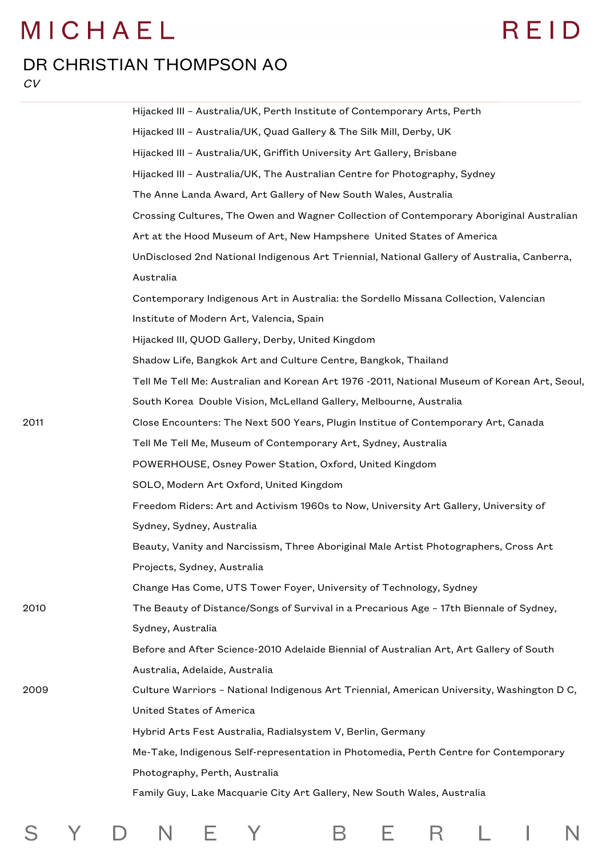## REID

#### DR CHRISTIAN THOMPSON AO

 $CV$ 

|      | Hijacked III - Australia/UK, Perth Institute of Contemporary Arts, Perth                     |
|------|----------------------------------------------------------------------------------------------|
|      | Hijacked III - Australia/UK, Quad Gallery & The Silk Mill, Derby, UK                         |
|      | Hijacked III - Australia/UK, Griffith University Art Gallery, Brisbane                       |
|      | Hijacked III - Australia/UK, The Australian Centre for Photography, Sydney                   |
|      | The Anne Landa Award, Art Gallery of New South Wales, Australia                              |
|      | Crossing Cultures, The Owen and Wagner Collection of Contemporary Aboriginal Australian      |
|      | Art at the Hood Museum of Art, New Hampshere United States of America                        |
|      | UnDisclosed 2nd National Indigenous Art Triennial, National Gallery of Australia, Canberra,  |
|      | Australia                                                                                    |
|      | Contemporary Indigenous Art in Australia: the Sordello Missana Collection, Valencian         |
|      | Institute of Modern Art, Valencia, Spain                                                     |
|      | Hijacked III, QUOD Gallery, Derby, United Kingdom                                            |
|      | Shadow Life, Bangkok Art and Culture Centre, Bangkok, Thailand                               |
|      | Tell Me Tell Me: Australian and Korean Art 1976 -2011, National Museum of Korean Art, Seoul, |
|      | South Korea Double Vision, McLelland Gallery, Melbourne, Australia                           |
| 2011 | Close Encounters: The Next 500 Years, Plugin Institue of Contemporary Art, Canada            |
|      | Tell Me Tell Me, Museum of Contemporary Art, Sydney, Australia                               |
|      | POWERHOUSE, Osney Power Station, Oxford, United Kingdom                                      |
|      | SOLO, Modern Art Oxford, United Kingdom                                                      |
|      | Freedom Riders: Art and Activism 1960s to Now, University Art Gallery, University of         |
|      | Sydney, Sydney, Australia                                                                    |
|      | Beauty, Vanity and Narcissism, Three Aboriginal Male Artist Photographers, Cross Art         |
|      | Projects, Sydney, Australia                                                                  |
|      | Change Has Come, UTS Tower Foyer, University of Technology, Sydney                           |
| 2010 | The Beauty of Distance/Songs of Survival in a Precarious Age - 17th Biennale of Sydney,      |
|      | Sydney, Australia                                                                            |
|      | Before and After Science-2010 Adelaide Biennial of Australian Art, Art Gallery of South      |
|      | Australia, Adelaide, Australia                                                               |
| 2009 | Culture Warriors - National Indigenous Art Triennial, American University, Washington D C,   |
|      | United States of America                                                                     |
|      | Hybrid Arts Fest Australia, Radialsystem V, Berlin, Germany                                  |
|      | Me-Take, Indigenous Self-representation in Photomedia, Perth Centre for Contemporary         |
|      | Photography, Perth, Australia                                                                |
|      | Family Guy, Lake Macquarie City Art Gallery, New South Wales, Australia                      |
|      |                                                                                              |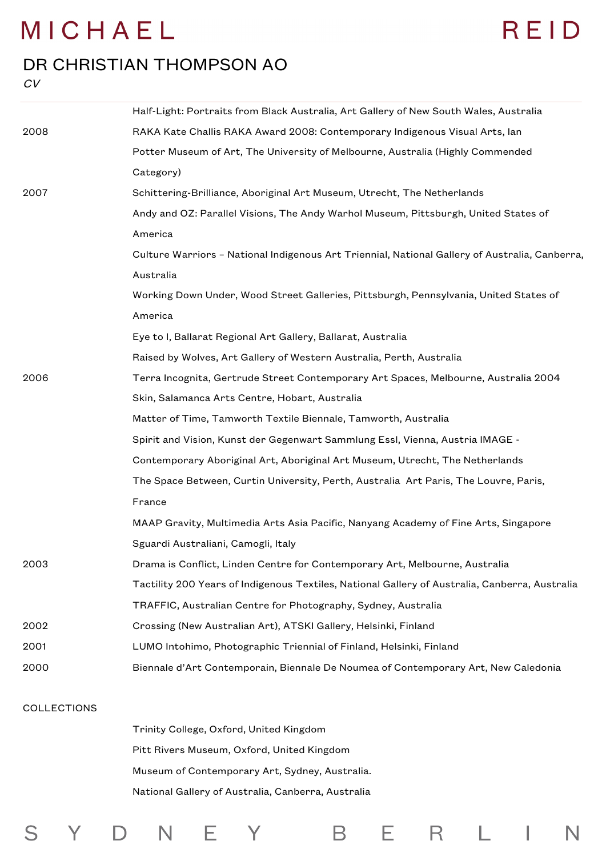$\mathsf{Y}$ 

S

# REID

#### DR CHRISTIAN THOMPSON AO

 $CV$ 

|                    | Half-Light: Portraits from Black Australia, Art Gallery of New South Wales, Australia          |
|--------------------|------------------------------------------------------------------------------------------------|
| 2008               | RAKA Kate Challis RAKA Award 2008: Contemporary Indigenous Visual Arts, lan                    |
|                    | Potter Museum of Art, The University of Melbourne, Australia (Highly Commended                 |
|                    | Category)                                                                                      |
| 2007               | Schittering-Brilliance, Aboriginal Art Museum, Utrecht, The Netherlands                        |
|                    | Andy and OZ: Parallel Visions, The Andy Warhol Museum, Pittsburgh, United States of            |
|                    | America                                                                                        |
|                    | Culture Warriors - National Indigenous Art Triennial, National Gallery of Australia, Canberra, |
|                    | Australia                                                                                      |
|                    | Working Down Under, Wood Street Galleries, Pittsburgh, Pennsylvania, United States of          |
|                    | America                                                                                        |
|                    | Eye to I, Ballarat Regional Art Gallery, Ballarat, Australia                                   |
|                    | Raised by Wolves, Art Gallery of Western Australia, Perth, Australia                           |
| 2006               | Terra Incognita, Gertrude Street Contemporary Art Spaces, Melbourne, Australia 2004            |
|                    | Skin, Salamanca Arts Centre, Hobart, Australia                                                 |
|                    | Matter of Time, Tamworth Textile Biennale, Tamworth, Australia                                 |
|                    | Spirit and Vision, Kunst der Gegenwart Sammlung Essl, Vienna, Austria IMAGE -                  |
|                    | Contemporary Aboriginal Art, Aboriginal Art Museum, Utrecht, The Netherlands                   |
|                    | The Space Between, Curtin University, Perth, Australia Art Paris, The Louvre, Paris,           |
|                    | France                                                                                         |
|                    | MAAP Gravity, Multimedia Arts Asia Pacific, Nanyang Academy of Fine Arts, Singapore            |
|                    | Sguardi Australiani, Camogli, Italy                                                            |
| 2003               | Drama is Conflict, Linden Centre for Contemporary Art, Melbourne, Australia                    |
|                    | Tactility 200 Years of Indigenous Textiles, National Gallery of Australia, Canberra, Australia |
|                    | TRAFFIC, Australian Centre for Photography, Sydney, Australia                                  |
| 2002               | Crossing (New Australian Art), ATSKI Gallery, Helsinki, Finland                                |
| 2001               | LUMO Intohimo, Photographic Triennial of Finland, Helsinki, Finland                            |
| 2000               | Biennale d'Art Contemporain, Biennale De Noumea of Contemporary Art, New Caledonia             |
| <b>COLLECTIONS</b> |                                                                                                |
|                    | Trinity College, Oxford, United Kingdom                                                        |
|                    | Pitt Rivers Museum, Oxford, United Kingdom                                                     |

Museum of Contemporary Art, Sydney, Australia.

E Y

 $N$ 

 $\Box$ 

National Gallery of Australia, Canberra, Australia

 $\overline{B}$ 

E R L

 $\sim 1$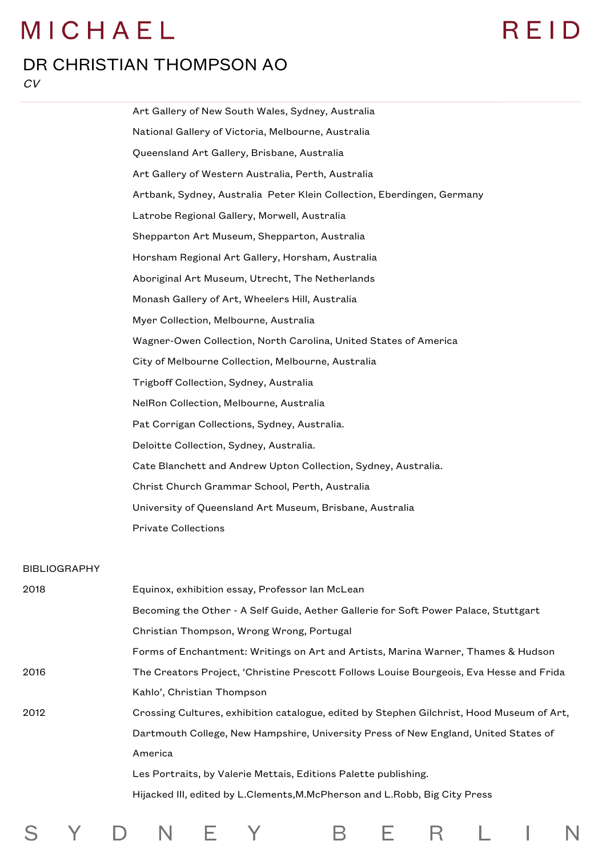## REID

#### DR CHRISTIAN THOMPSON AO

 $CV$ 

S

Y

 $\mathsf{D}$ 

|                     | Art Gallery of New South Wales, Sydney, Australia                                       |
|---------------------|-----------------------------------------------------------------------------------------|
|                     | National Gallery of Victoria, Melbourne, Australia                                      |
|                     | Queensland Art Gallery, Brisbane, Australia                                             |
|                     | Art Gallery of Western Australia, Perth, Australia                                      |
|                     | Artbank, Sydney, Australia Peter Klein Collection, Eberdingen, Germany                  |
|                     | Latrobe Regional Gallery, Morwell, Australia                                            |
|                     | Shepparton Art Museum, Shepparton, Australia                                            |
|                     | Horsham Regional Art Gallery, Horsham, Australia                                        |
|                     | Aboriginal Art Museum, Utrecht, The Netherlands                                         |
|                     | Monash Gallery of Art, Wheelers Hill, Australia                                         |
|                     | Myer Collection, Melbourne, Australia                                                   |
|                     | Wagner-Owen Collection, North Carolina, United States of America                        |
|                     | City of Melbourne Collection, Melbourne, Australia                                      |
|                     | Trigboff Collection, Sydney, Australia                                                  |
|                     | NelRon Collection, Melbourne, Australia                                                 |
|                     | Pat Corrigan Collections, Sydney, Australia.                                            |
|                     | Deloitte Collection, Sydney, Australia.                                                 |
|                     | Cate Blanchett and Andrew Upton Collection, Sydney, Australia.                          |
|                     | Christ Church Grammar School, Perth, Australia                                          |
|                     | University of Queensland Art Museum, Brisbane, Australia                                |
|                     | <b>Private Collections</b>                                                              |
| <b>BIBLIOGRAPHY</b> |                                                                                         |
| 2018                | Equinox, exhibition essay, Professor lan McLean                                         |
|                     | Becoming the Other - A Self Guide, Aether Gallerie for Soft Power Palace, Stuttgart     |
|                     | Christian Thompson, Wrong Wrong, Portugal                                               |
|                     | Forms of Enchantment: Writings on Art and Artists, Marina Warner, Thames & Hudson       |
| 2016                | The Creators Project, 'Christine Prescott Follows Louise Bourgeois, Eva Hesse and Frida |
|                     | Kahlo', Christian Thompson                                                              |

2012 Crossing Cultures, exhibition catalogue, edited by Stephen Gilchrist, Hood Museum of Art, Dartmouth College, New Hampshire, University Press of New England, United States of America Les Portraits, by Valerie Mettais, Editions Palette publishing.

F.

Y

N

Hijacked III, edited by L.Clements,M.McPherson and L.Robb, Big City Press

B

E.

 $\mathsf{R}$ 

I

L.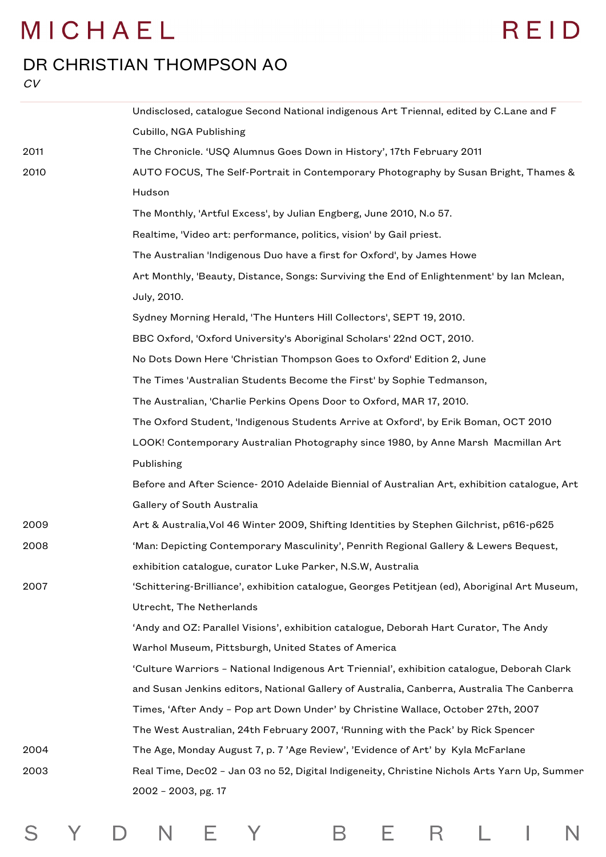# REID

#### DR CHRISTIAN THOMPSON AO

 $CV$ 

S

Y D N E Y

|      | Undisclosed, catalogue Second National indigenous Art Triennal, edited by C.Lane and F         |
|------|------------------------------------------------------------------------------------------------|
|      | Cubillo, NGA Publishing                                                                        |
| 2011 | The Chronicle. 'USQ Alumnus Goes Down in History', 17th February 2011                          |
| 2010 | AUTO FOCUS, The Self-Portrait in Contemporary Photography by Susan Bright, Thames &            |
|      | Hudson                                                                                         |
|      | The Monthly, 'Artful Excess', by Julian Engberg, June 2010, N.o 57.                            |
|      | Realtime, 'Video art: performance, politics, vision' by Gail priest.                           |
|      | The Australian 'Indigenous Duo have a first for Oxford', by James Howe                         |
|      | Art Monthly, 'Beauty, Distance, Songs: Surviving the End of Enlightenment' by lan Mclean,      |
|      | July, 2010.                                                                                    |
|      | Sydney Morning Herald, 'The Hunters Hill Collectors', SEPT 19, 2010.                           |
|      | BBC Oxford, 'Oxford University's Aboriginal Scholars' 22nd OCT, 2010.                          |
|      | No Dots Down Here 'Christian Thompson Goes to Oxford' Edition 2, June                          |
|      | The Times 'Australian Students Become the First' by Sophie Tedmanson,                          |
|      | The Australian, 'Charlie Perkins Opens Door to Oxford, MAR 17, 2010.                           |
|      | The Oxford Student, 'Indigenous Students Arrive at Oxford', by Erik Boman, OCT 2010            |
|      | LOOK! Contemporary Australian Photography since 1980, by Anne Marsh Macmillan Art              |
|      | Publishing                                                                                     |
|      | Before and After Science- 2010 Adelaide Biennial of Australian Art, exhibition catalogue, Art  |
|      | Gallery of South Australia                                                                     |
| 2009 | Art & Australia, Vol 46 Winter 2009, Shifting Identities by Stephen Gilchrist, p616-p625       |
| 2008 | 'Man: Depicting Contemporary Masculinity', Penrith Regional Gallery & Lewers Bequest,          |
|      | exhibition catalogue, curator Luke Parker, N.S.W, Australia                                    |
| 2007 | 'Schittering-Brilliance', exhibition catalogue, Georges Petitjean (ed), Aboriginal Art Museum, |
|      | Utrecht, The Netherlands                                                                       |
|      | 'Andy and OZ: Parallel Visions', exhibition catalogue, Deborah Hart Curator, The Andy          |
|      | Warhol Museum, Pittsburgh, United States of America                                            |
|      | 'Culture Warriors - National Indigenous Art Triennial', exhibition catalogue, Deborah Clark    |
|      | and Susan Jenkins editors, National Gallery of Australia, Canberra, Australia The Canberra     |
|      | Times, 'After Andy - Pop art Down Under' by Christine Wallace, October 27th, 2007              |
|      | The West Australian, 24th February 2007, 'Running with the Pack' by Rick Spencer               |
| 2004 | The Age, Monday August 7, p. 7 'Age Review', 'Evidence of Art' by Kyla McFarlane               |
| 2003 | Real Time, Dec02 - Jan 03 no 52, Digital Indigeneity, Christine Nichols Arts Yarn Up, Summer   |
|      | 2002 - 2003, pg. 17                                                                            |
|      |                                                                                                |

B E R L I

 $\overline{\mathsf{N}}$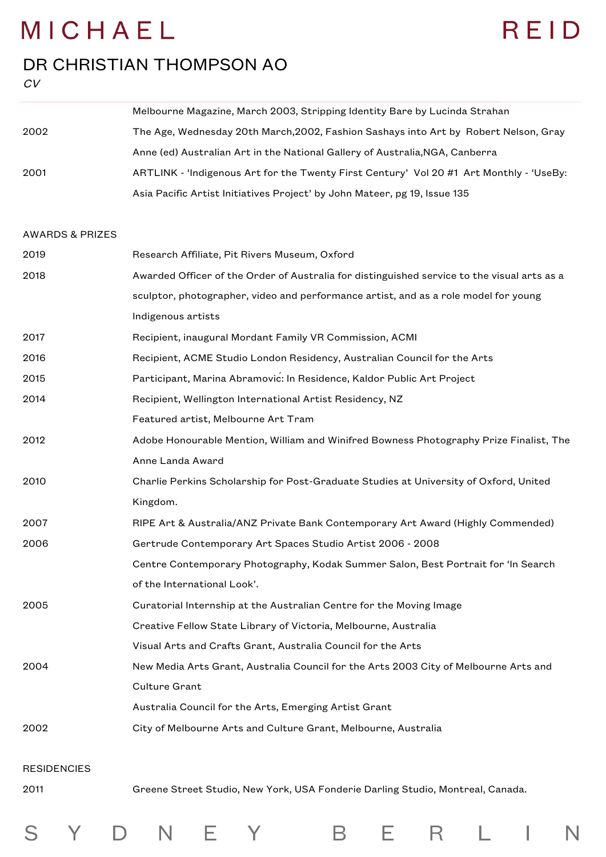## REID

#### DR CHRISTIAN THOMPSON AO

Y D N E Y

S

CV

|      | Melbourne Magazine, March 2003, Stripping Identity Bare by Lucinda Strahan              |
|------|-----------------------------------------------------------------------------------------|
| 2002 | The Age, Wednesday 20th March, 2002, Fashion Sashays into Art by Robert Nelson, Gray    |
|      | Anne (ed) Australian Art in the National Gallery of Australia, NGA, Canberra            |
| 2001 | ARTLINK - 'Indigenous Art for the Twenty First Century' Vol 20 #1 Art Monthly - 'UseBy: |
|      | Asia Pacific Artist Initiatives Project' by John Mateer, pg 19, Issue 135               |

#### AWARDS & PRIZES

| Research Affiliate, Pit Rivers Museum, Oxford                                               |
|---------------------------------------------------------------------------------------------|
| Awarded Officer of the Order of Australia for distinguished service to the visual arts as a |
| sculptor, photographer, video and performance artist, and as a role model for young         |
| Indigenous artists                                                                          |
| Recipient, inaugural Mordant Family VR Commission, ACMI                                     |
| Recipient, ACME Studio London Residency, Australian Council for the Arts                    |
| Participant, Marina Abramovic: In Residence, Kaldor Public Art Project                      |
| Recipient, Wellington International Artist Residency, NZ                                    |
| Featured artist, Melbourne Art Tram                                                         |
| Adobe Honourable Mention, William and Winifred Bowness Photography Prize Finalist, The      |
| Anne Landa Award                                                                            |
| Charlie Perkins Scholarship for Post-Graduate Studies at University of Oxford, United       |
| Kingdom.                                                                                    |
| RIPE Art & Australia/ANZ Private Bank Contemporary Art Award (Highly Commended)             |
| Gertrude Contemporary Art Spaces Studio Artist 2006 - 2008                                  |
| Centre Contemporary Photography, Kodak Summer Salon, Best Portrait for 'In Search           |
| of the International Look'.                                                                 |
| Curatorial Internship at the Australian Centre for the Moving Image                         |
| Creative Fellow State Library of Victoria, Melbourne, Australia                             |
| Visual Arts and Crafts Grant, Australia Council for the Arts                                |
| New Media Arts Grant, Australia Council for the Arts 2003 City of Melbourne Arts and        |
| <b>Culture Grant</b>                                                                        |
| Australia Council for the Arts, Emerging Artist Grant                                       |
| City of Melbourne Arts and Culture Grant, Melbourne, Australia                              |
|                                                                                             |
|                                                                                             |
| Greene Street Studio, New York, USA Fonderie Darling Studio, Montreal, Canada.              |
|                                                                                             |

B E R L I

 $\overline{\mathsf{N}}$